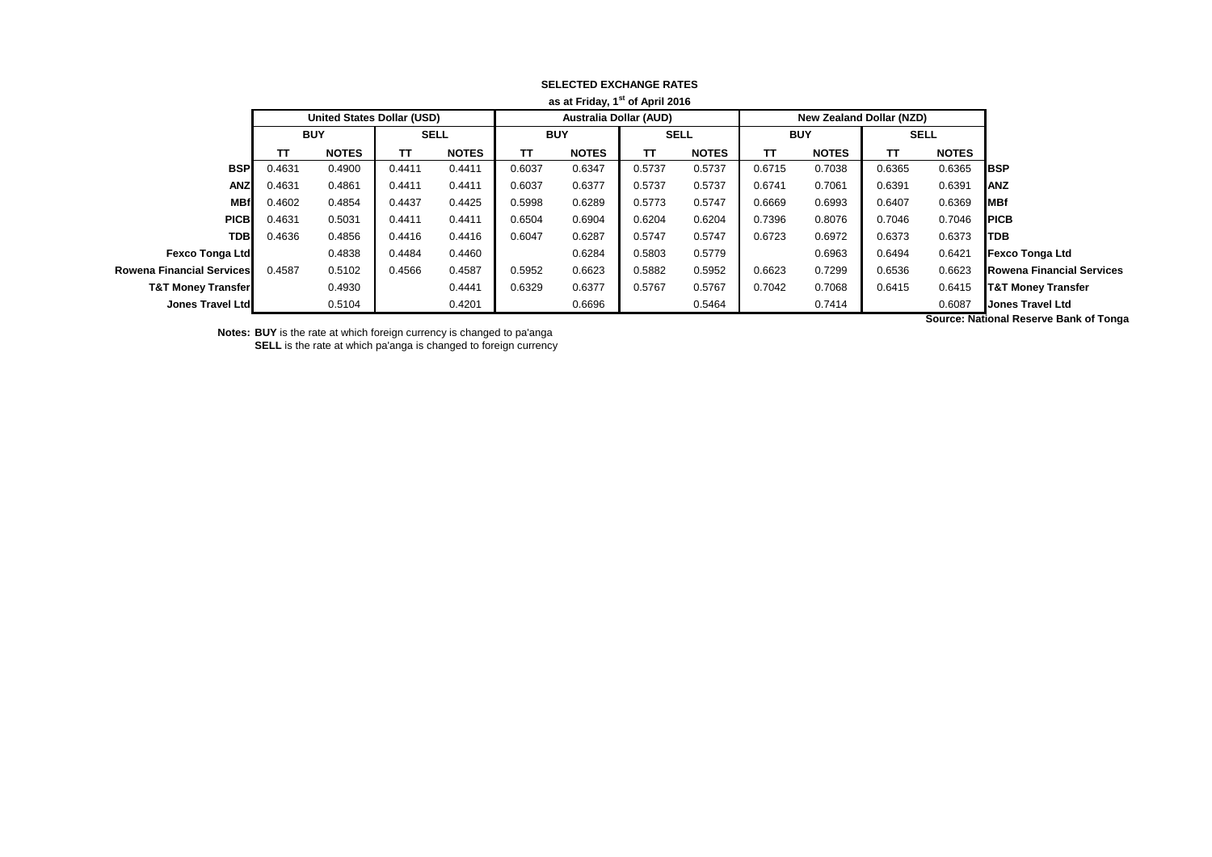| as at Friday, 1" of April 2016 |            |                                   |             |              |            |                               |             |              |            |                                 |             |              |                                       |
|--------------------------------|------------|-----------------------------------|-------------|--------------|------------|-------------------------------|-------------|--------------|------------|---------------------------------|-------------|--------------|---------------------------------------|
|                                |            | <b>United States Dollar (USD)</b> |             |              |            | <b>Australia Dollar (AUD)</b> |             |              |            | <b>New Zealand Dollar (NZD)</b> |             |              |                                       |
|                                | <b>BUY</b> |                                   | <b>SELL</b> |              | <b>BUY</b> |                               | <b>SELL</b> |              | <b>BUY</b> |                                 | <b>SELL</b> |              |                                       |
|                                | тτ         | <b>NOTES</b>                      | TΤ          | <b>NOTES</b> | ΤТ         | <b>NOTES</b>                  | TΤ          | <b>NOTES</b> | TΤ         | <b>NOTES</b>                    | TΤ          | <b>NOTES</b> |                                       |
| <b>BSP</b>                     | 0.4631     | 0.4900                            | 0.4411      | 0.4411       | 0.6037     | 0.6347                        | 0.5737      | 0.5737       | 0.6715     | 0.7038                          | 0.6365      | 0.6365       | <b>IBSP</b>                           |
| <b>ANZ</b>                     | 0.4631     | 0.4861                            | 0.4411      | 0.4411       | 0.6037     | 0.6377                        | 0.5737      | 0.5737       | 0.6741     | 0.7061                          | 0.6391      | 0.6391       | <b>ANZ</b>                            |
| <b>MBf</b>                     | 0.4602     | 0.4854                            | 0.4437      | 0.4425       | 0.5998     | 0.6289                        | 0.5773      | 0.5747       | 0.6669     | 0.6993                          | 0.6407      | 0.6369       | <b>MBf</b>                            |
| <b>PICB</b>                    | 0.4631     | 0.5031                            | 0.4411      | 0.4411       | 0.6504     | 0.6904                        | 0.6204      | 0.6204       | 0.7396     | 0.8076                          | 0.7046      | 0.7046       | <b>IPICB</b>                          |
| <b>TDB</b>                     | 0.4636     | 0.4856                            | 0.4416      | 0.4416       | 0.6047     | 0.6287                        | 0.5747      | 0.5747       | 0.6723     | 0.6972                          | 0.6373      | 0.6373       | ITDB                                  |
| <b>Fexco Tonga Ltd</b>         |            | 0.4838                            | 0.4484      | 0.4460       |            | 0.6284                        | 0.5803      | 0.5779       |            | 0.6963                          | 0.6494      | 0.6421       | <b>Fexco Tonga Ltd</b>                |
| Rowena Financial Services      | 0.4587     | 0.5102                            | 0.4566      | 0.4587       | 0.5952     | 0.6623                        | 0.5882      | 0.5952       | 0.6623     | 0.7299                          | 0.6536      | 0.6623       | <b>Rowena Financial Services</b>      |
| <b>T&amp;T Money Transfer</b>  |            | 0.4930                            |             | 0.4441       | 0.6329     | 0.6377                        | 0.5767      | 0.5767       | 0.7042     | 0.7068                          | 0.6415      | 0.6415       | <b>T&amp;T Money Transfer</b>         |
| Jones Travel Ltd               |            | 0.5104                            |             | 0.4201       |            | 0.6696                        |             | 0.5464       |            | 0.7414                          |             | 0.6087       | <b>Jones Travel Ltd</b>               |
|                                |            |                                   |             |              |            |                               |             |              |            |                                 |             |              | Accords Mathematics and Devil of Taxa |

#### **SELECTED EXCHANGE RATES as at Friday, 1st of April 2016**

**Notes: BUY** is the rate at which foreign currency is changed to pa'anga

**SELL** is the rate at which pa'anga is changed to foreign currency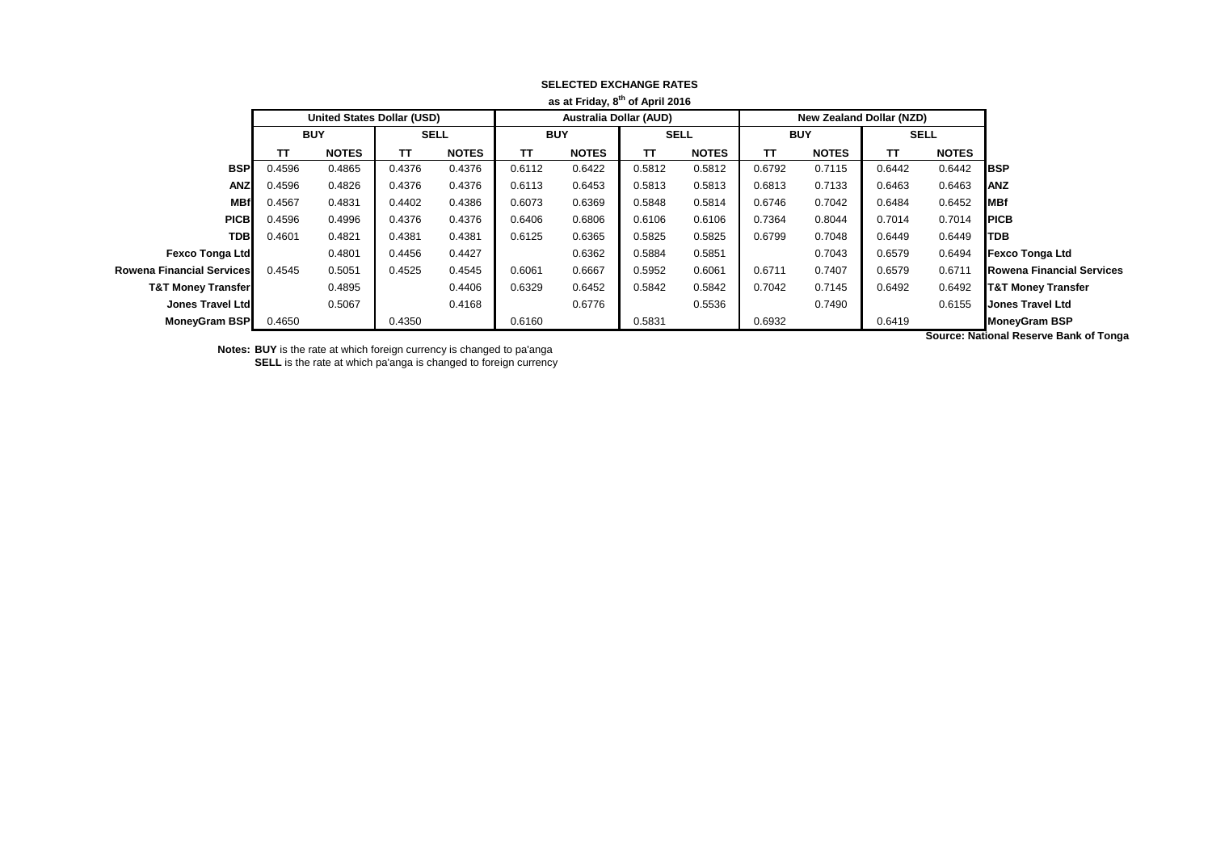|                               |            |                                   |             |              |                               | as at Friday, 8 or April 2016 |             |              |            |                          |             |              |                                  |
|-------------------------------|------------|-----------------------------------|-------------|--------------|-------------------------------|-------------------------------|-------------|--------------|------------|--------------------------|-------------|--------------|----------------------------------|
|                               |            | <b>United States Dollar (USD)</b> |             |              | <b>Australia Dollar (AUD)</b> |                               |             |              |            | New Zealand Dollar (NZD) |             |              |                                  |
|                               | <b>BUY</b> |                                   | <b>SELL</b> |              | <b>BUY</b>                    |                               | <b>SELL</b> |              | <b>BUY</b> |                          | <b>SELL</b> |              |                                  |
|                               | TΤ         | <b>NOTES</b>                      | ТΤ          | <b>NOTES</b> | TΤ                            | <b>NOTES</b>                  | TT          | <b>NOTES</b> | TΤ         | <b>NOTES</b>             | TΤ          | <b>NOTES</b> |                                  |
| <b>BSP</b>                    | 0.4596     | 0.4865                            | 0.4376      | 0.4376       | 0.6112                        | 0.6422                        | 0.5812      | 0.5812       | 0.6792     | 0.7115                   | 0.6442      | 0.6442       | <b>I</b> BSP                     |
| <b>ANZ</b>                    | 0.4596     | 0.4826                            | 0.4376      | 0.4376       | 0.6113                        | 0.6453                        | 0.5813      | 0.5813       | 0.6813     | 0.7133                   | 0.6463      | 0.6463       | <b>ANZ</b>                       |
| <b>MBf</b>                    | 0.4567     | 0.4831                            | 0.4402      | 0.4386       | 0.6073                        | 0.6369                        | 0.5848      | 0.5814       | 0.6746     | 0.7042                   | 0.6484      | 0.6452       | <b>MBf</b>                       |
| <b>PICB</b>                   | 0.4596     | 0.4996                            | 0.4376      | 0.4376       | 0.6406                        | 0.6806                        | 0.6106      | 0.6106       | 0.7364     | 0.8044                   | 0.7014      | 0.7014       | <b>PICB</b>                      |
| <b>TDB</b>                    | 0.4601     | 0.4821                            | 0.4381      | 0.4381       | 0.6125                        | 0.6365                        | 0.5825      | 0.5825       | 0.6799     | 0.7048                   | 0.6449      | 0.6449       | <b>TDB</b>                       |
| <b>Fexco Tonga Ltd</b>        |            | 0.4801                            | 0.4456      | 0.4427       |                               | 0.6362                        | 0.5884      | 0.5851       |            | 0.7043                   | 0.6579      | 0.6494       | <b>Fexco Tonga Ltd</b>           |
| Rowena Financial Services     | 0.4545     | 0.5051                            | 0.4525      | 0.4545       | 0.6061                        | 0.6667                        | 0.5952      | 0.6061       | 0.6711     | 0.7407                   | 0.6579      | 0.6711       | <b>Rowena Financial Services</b> |
| <b>T&amp;T Money Transfer</b> |            | 0.4895                            |             | 0.4406       | 0.6329                        | 0.6452                        | 0.5842      | 0.5842       | 0.7042     | 0.7145                   | 0.6492      | 0.6492       | <b>T&amp;T Money Transfer</b>    |
| Jones Travel Ltd              |            | 0.5067                            |             | 0.4168       |                               | 0.6776                        |             | 0.5536       |            | 0.7490                   |             | 0.6155       | <b>Jones Travel Ltd</b>          |
| <b>MoneyGram BSP</b>          | 0.4650     |                                   | 0.4350      |              | 0.6160                        |                               | 0.5831      |              | 0.6932     |                          | 0.6419      |              | <b>MoneyGram BSP</b>             |
|                               |            |                                   |             |              |                               |                               |             |              |            |                          |             | .            |                                  |

## **SELECTED EXCHANGE RATES as at Friday, 8th of April 2016**

**Notes: BUY** is the rate at which foreign currency is changed to pa'anga **SELL** is the rate at which pa'anga is changed to foreign currency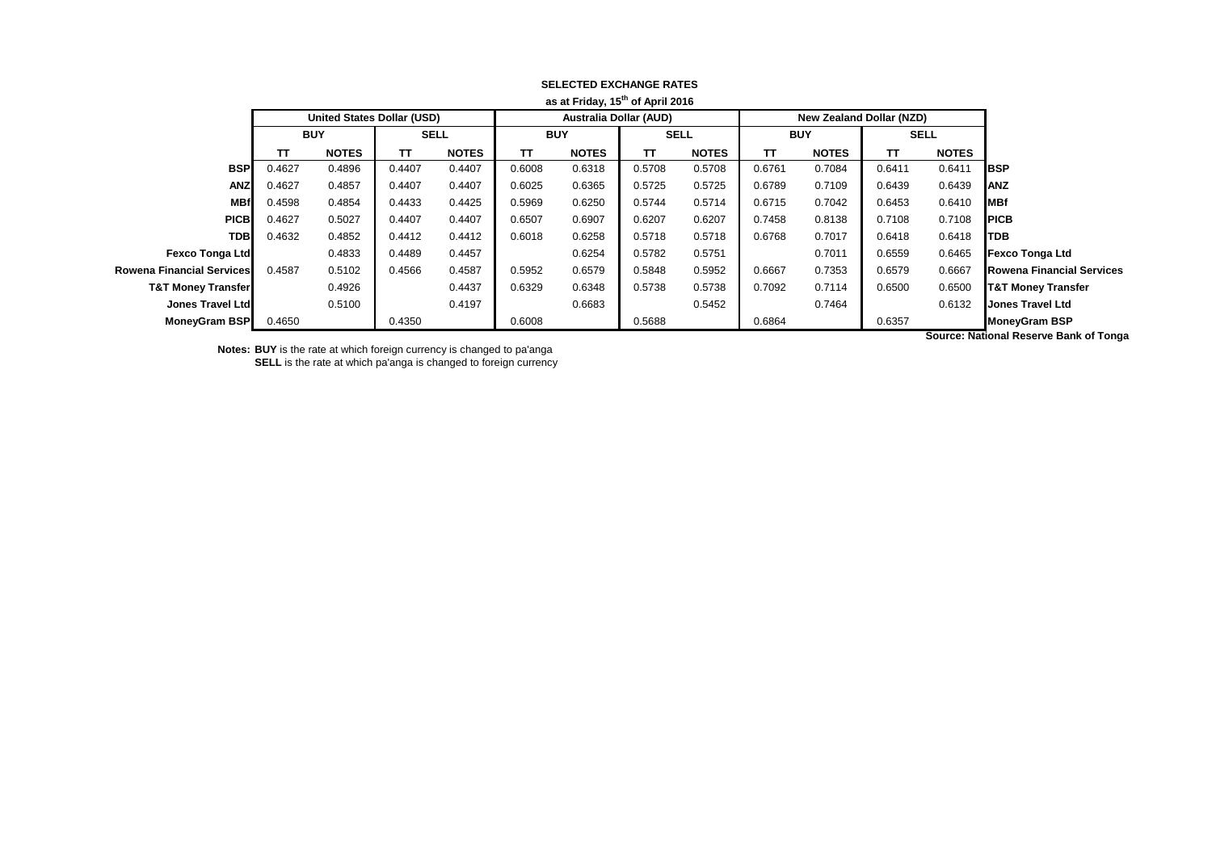|                                  |              |        |                                 |        |                               |        | as at Friday, 15 or April 2016 |        |                                   |        |              |        |                                  |
|----------------------------------|--------------|--------|---------------------------------|--------|-------------------------------|--------|--------------------------------|--------|-----------------------------------|--------|--------------|--------|----------------------------------|
|                                  |              |        | <b>New Zealand Dollar (NZD)</b> |        | <b>Australia Dollar (AUD)</b> |        |                                |        | <b>United States Dollar (USD)</b> |        |              |        |                                  |
|                                  | <b>SELL</b>  |        | <b>BUY</b>                      |        | <b>SELL</b>                   |        | <b>BUY</b>                     |        | <b>SELL</b>                       |        | <b>BUY</b>   |        |                                  |
|                                  | <b>NOTES</b> | TΤ     | <b>NOTES</b>                    | TΤ     | <b>NOTES</b>                  | TΤ     | <b>NOTES</b>                   | TΤ     | <b>NOTES</b>                      | TΤ     | <b>NOTES</b> | TΤ     |                                  |
| <b>I</b> BSP                     | 0.6411       | 0.6411 | 0.7084                          | 0.6761 | 0.5708                        | 0.5708 | 0.6318                         | 0.6008 | 0.4407                            | 0.4407 | 0.4896       | 0.4627 | <b>BSP</b>                       |
| <b>ANZ</b>                       | 0.6439       | 0.6439 | 0.7109                          | 0.6789 | 0.5725                        | 0.5725 | 0.6365                         | 0.6025 | 0.4407                            | 0.4407 | 0.4857       | 0.4627 | <b>ANZ</b>                       |
| <b>MBf</b>                       | 0.6410       | 0.6453 | 0.7042                          | 0.6715 | 0.5714                        | 0.5744 | 0.6250                         | 0.5969 | 0.4425                            | 0.4433 | 0.4854       | 0.4598 | <b>MBf</b>                       |
| <b>PICB</b>                      | 0.7108       | 0.7108 | 0.8138                          | 0.7458 | 0.6207                        | 0.6207 | 0.6907                         | 0.6507 | 0.4407                            | 0.4407 | 0.5027       | 0.4627 | <b>PICB</b>                      |
| <b>TDB</b>                       | 0.6418       | 0.6418 | 0.7017                          | 0.6768 | 0.5718                        | 0.5718 | 0.6258                         | 0.6018 | 0.4412                            | 0.4412 | 0.4852       | 0.4632 | <b>TDB</b>                       |
| <b>Fexco Tonga Ltd</b>           | 0.6465       | 0.6559 | 0.7011                          |        | 0.5751                        | 0.5782 | 0.6254                         |        | 0.4457                            | 0.4489 | 0.4833       |        | <b>Fexco Tonga Ltd</b>           |
| <b>Rowena Financial Services</b> | 0.6667       | 0.6579 | 0.7353                          | 0.6667 | 0.5952                        | 0.5848 | 0.6579                         | 0.5952 | 0.4587                            | 0.4566 | 0.5102       | 0.4587 | <b>Rowena Financial Services</b> |
| <b>T&amp;T Money Transfer</b>    | 0.6500       | 0.6500 | 0.7114                          | 0.7092 | 0.5738                        | 0.5738 | 0.6348                         | 0.6329 | 0.4437                            |        | 0.4926       |        | <b>T&amp;T Money Transfer</b>    |
| <b>Jones Travel Ltd</b>          | 0.6132       |        | 0.7464                          |        | 0.5452                        |        | 0.6683                         |        | 0.4197                            |        | 0.5100       |        | <b>Jones Travel Ltd</b>          |
| <b>MoneyGram BSP</b>             |              | 0.6357 |                                 | 0.6864 |                               | 0.5688 |                                | 0.6008 |                                   | 0.4350 |              | 0.4650 | <b>MoneyGram BSP</b>             |
|                                  | .            |        |                                 |        |                               |        |                                |        |                                   |        |              |        |                                  |

# **SELECTED EXCHANGE RATES as at Friday, 15th of April 2016**

**Notes: BUY** is the rate at which foreign currency is changed to pa'anga **SELL** is the rate at which pa'anga is changed to foreign currency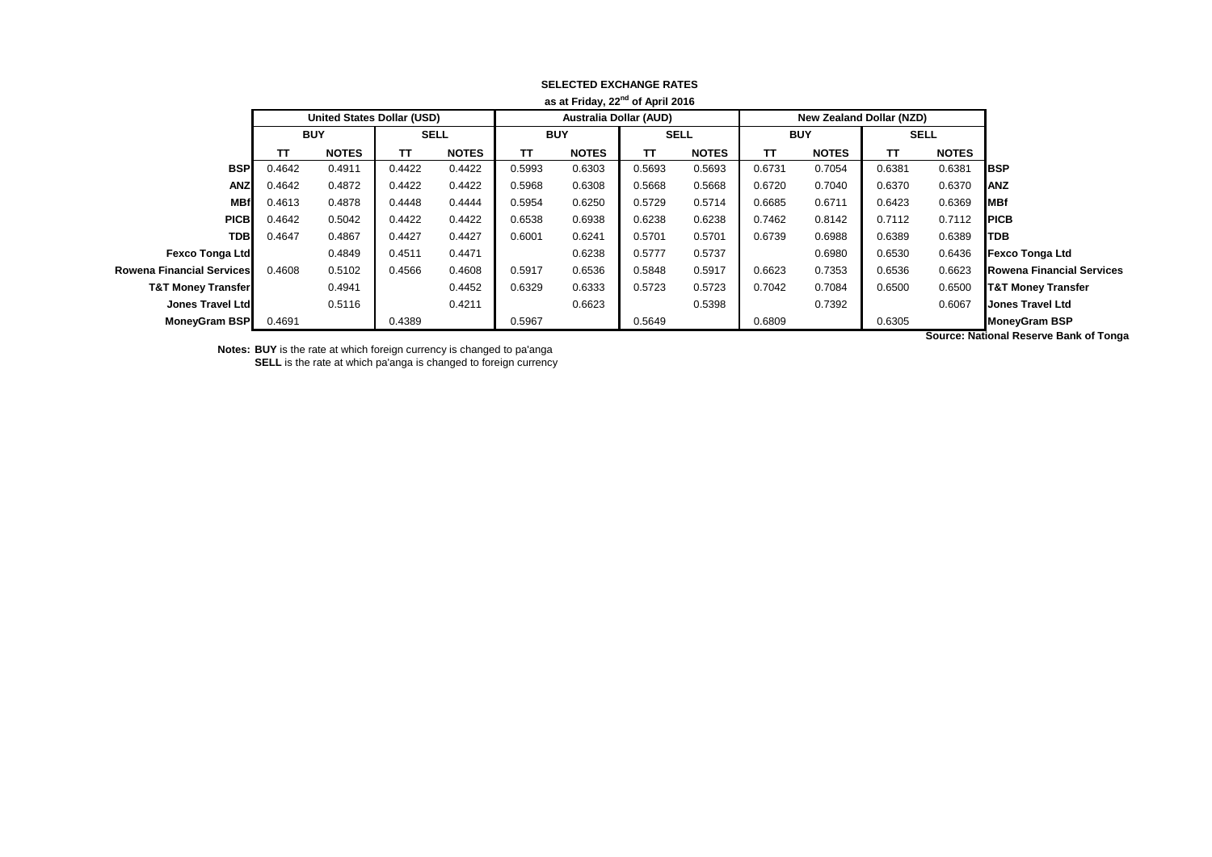|                               |            |                                   |             |              |                               | as at Friday, ZZ OI April 2010 |             |              |            |                          |             |              |                                  |
|-------------------------------|------------|-----------------------------------|-------------|--------------|-------------------------------|--------------------------------|-------------|--------------|------------|--------------------------|-------------|--------------|----------------------------------|
|                               |            | <b>United States Dollar (USD)</b> |             |              | <b>Australia Dollar (AUD)</b> |                                |             |              |            | New Zealand Dollar (NZD) |             |              |                                  |
|                               | <b>BUY</b> |                                   | <b>SELL</b> |              | <b>BUY</b>                    |                                | <b>SELL</b> |              | <b>BUY</b> |                          | <b>SELL</b> |              |                                  |
|                               | TΤ         | <b>NOTES</b>                      | тτ          | <b>NOTES</b> | ТΤ                            | <b>NOTES</b>                   | TT          | <b>NOTES</b> | TΤ         | <b>NOTES</b>             | π           | <b>NOTES</b> |                                  |
| <b>BSP</b>                    | 0.4642     | 0.4911                            | 0.4422      | 0.4422       | 0.5993                        | 0.6303                         | 0.5693      | 0.5693       | 0.6731     | 0.7054                   | 0.6381      | 0.6381       | <b>BSP</b>                       |
| <b>ANZ</b>                    | 0.4642     | 0.4872                            | 0.4422      | 0.4422       | 0.5968                        | 0.6308                         | 0.5668      | 0.5668       | 0.6720     | 0.7040                   | 0.6370      | 0.6370       | <b>ANZ</b>                       |
| <b>MBf</b>                    | 0.4613     | 0.4878                            | 0.4448      | 0.4444       | 0.5954                        | 0.6250                         | 0.5729      | 0.5714       | 0.6685     | 0.6711                   | 0.6423      | 0.6369       | MBf                              |
| <b>PICB</b>                   | 0.4642     | 0.5042                            | 0.4422      | 0.4422       | 0.6538                        | 0.6938                         | 0.6238      | 0.6238       | 0.7462     | 0.8142                   | 0.7112      | 0.7112       | <b>PICB</b>                      |
| <b>TDB</b>                    | 0.4647     | 0.4867                            | 0.4427      | 0.4427       | 0.6001                        | 0.6241                         | 0.5701      | 0.5701       | 0.6739     | 0.6988                   | 0.6389      | 0.6389       | TDB                              |
| <b>Fexco Tonga Ltd</b>        |            | 0.4849                            | 0.4511      | 0.4471       |                               | 0.6238                         | 0.5777      | 0.5737       |            | 0.6980                   | 0.6530      | 0.6436       | <b>Fexco Tonga Ltd</b>           |
| Rowena Financial Services     | 0.4608     | 0.5102                            | 0.4566      | 0.4608       | 0.5917                        | 0.6536                         | 0.5848      | 0.5917       | 0.6623     | 0.7353                   | 0.6536      | 0.6623       | <b>Rowena Financial Services</b> |
| <b>T&amp;T Money Transfer</b> |            | 0.4941                            |             | 0.4452       | 0.6329                        | 0.6333                         | 0.5723      | 0.5723       | 0.7042     | 0.7084                   | 0.6500      | 0.6500       | <b>T&amp;T Money Transfer</b>    |
| Jones Travel Ltd              |            | 0.5116                            |             | 0.4211       |                               | 0.6623                         |             | 0.5398       |            | 0.7392                   |             | 0.6067       | <b>Jones Travel Ltd</b>          |
| MoneyGram BSP                 | 0.4691     |                                   | 0.4389      |              | 0.5967                        |                                | 0.5649      |              | 0.6809     |                          | 0.6305      |              | <b>MoneyGram BSP</b>             |
|                               |            |                                   |             |              |                               |                                |             |              |            |                          |             | .            |                                  |

## **SELECTED EXCHANGE RATES as at Friday, 22nd of April 2016**

**Notes: BUY** is the rate at which foreign currency is changed to pa'anga **SELL** is the rate at which pa'anga is changed to foreign currency